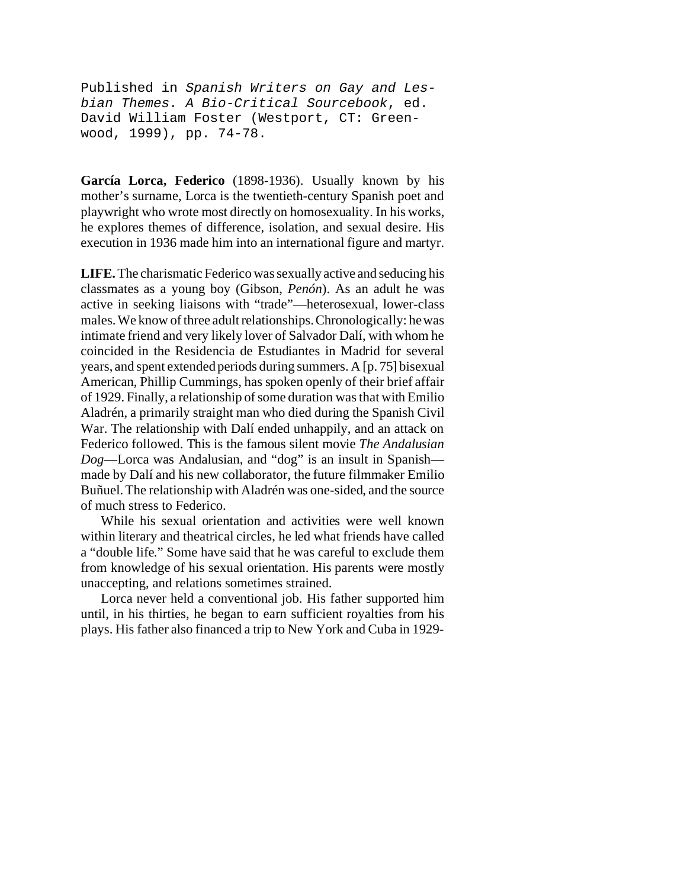Published in *Spanish Writers on Gay and Lesbian Themes. A Bio-Critical Sourcebook*, ed. David William Foster (Westport, CT: Greenwood, 1999), pp. 74-78.

**García Lorca, Federico** (1898-1936). Usually known by his mother's surname, Lorca is the twentieth-century Spanish poet and playwright who wrote most directly on homosexuality. In his works, he explores themes of difference, isolation, and sexual desire. His execution in 1936 made him into an international figure and martyr.

**LIFE.** The charismatic Federico was sexually active and seducing his classmates as a young boy (Gibson, *Penón*). As an adult he was active in seeking liaisons with "trade"—heterosexual, lower-class males. We know of three adult relationships.Chronologically: he was intimate friend and very likely lover of Salvador Dalí, with whom he coincided in the Residencia de Estudiantes in Madrid for several years, and spent extended periods during summers. A [p. 75] bisexual American, Phillip Cummings, has spoken openly of their brief affair of 1929. Finally, a relationship of some duration was that with Emilio Aladrén, a primarily straight man who died during the Spanish Civil War. The relationship with Dalí ended unhappily, and an attack on Federico followed. This is the famous silent movie *The Andalusian Dog*—Lorca was Andalusian, and "dog" is an insult in Spanish made by Dalí and his new collaborator, the future filmmaker Emilio Buñuel. The relationship with Aladrén was one-sided, and the source of much stress to Federico.

While his sexual orientation and activities were well known within literary and theatrical circles, he led what friends have called a "double life." Some have said that he was careful to exclude them from knowledge of his sexual orientation. His parents were mostly unaccepting, and relations sometimes strained.

Lorca never held a conventional job. His father supported him until, in his thirties, he began to earn sufficient royalties from his plays. His father also financed a trip to New York and Cuba in 1929-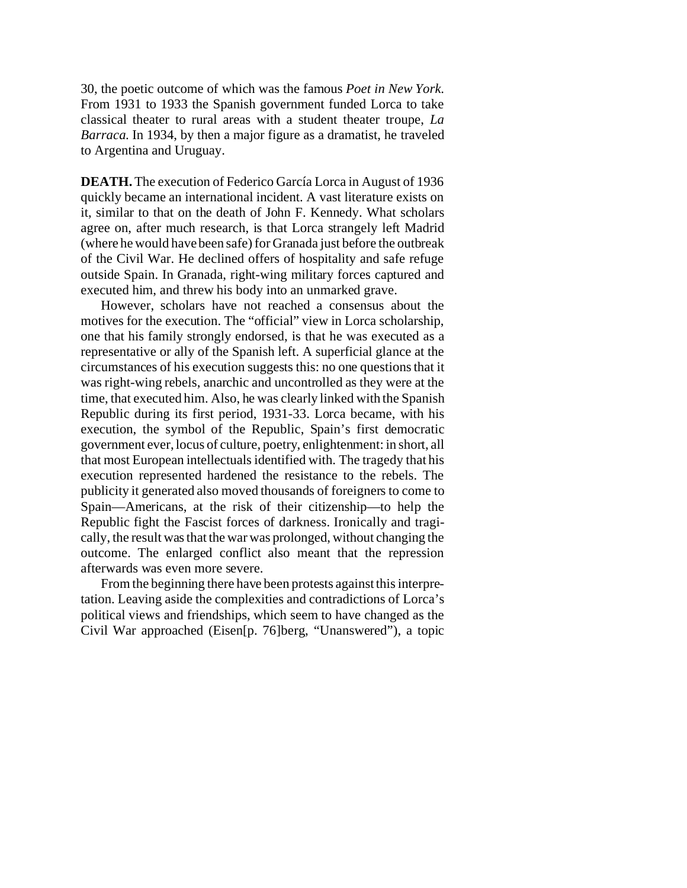30, the poetic outcome of which was the famous *Poet in New York*. From 1931 to 1933 the Spanish government funded Lorca to take classical theater to rural areas with a student theater troupe, *La Barraca*. In 1934, by then a major figure as a dramatist, he traveled to Argentina and Uruguay.

**DEATH.** The execution of Federico García Lorca in August of 1936 quickly became an international incident. A vast literature exists on it, similar to that on the death of John F. Kennedy. What scholars agree on, after much research, is that Lorca strangely left Madrid (where he would have been safe) for Granada just before the outbreak of the Civil War. He declined offers of hospitality and safe refuge outside Spain. In Granada, right-wing military forces captured and executed him, and threw his body into an unmarked grave.

However, scholars have not reached a consensus about the motives for the execution. The "official" view in Lorca scholarship, one that his family strongly endorsed, is that he was executed as a representative or ally of the Spanish left. A superficial glance at the circumstances of his execution suggests this: no one questions that it was right-wing rebels, anarchic and uncontrolled as they were at the time, that executed him. Also, he was clearly linked with the Spanish Republic during its first period, 1931-33. Lorca became, with his execution, the symbol of the Republic, Spain's first democratic government ever, locus of culture, poetry, enlightenment: in short, all that most European intellectuals identified with. The tragedy that his execution represented hardened the resistance to the rebels. The publicity it generated also moved thousands of foreigners to come to Spain—Americans, at the risk of their citizenship—to help the Republic fight the Fascist forces of darkness. Ironically and tragically, the result was that the war was prolonged, without changing the outcome. The enlarged conflict also meant that the repression afterwards was even more severe.

From the beginning there have been protests against this interpretation. Leaving aside the complexities and contradictions of Lorca's political views and friendships, which seem to have changed as the Civil War approached (Eisen[p. 76]berg, "Unanswered"), a topic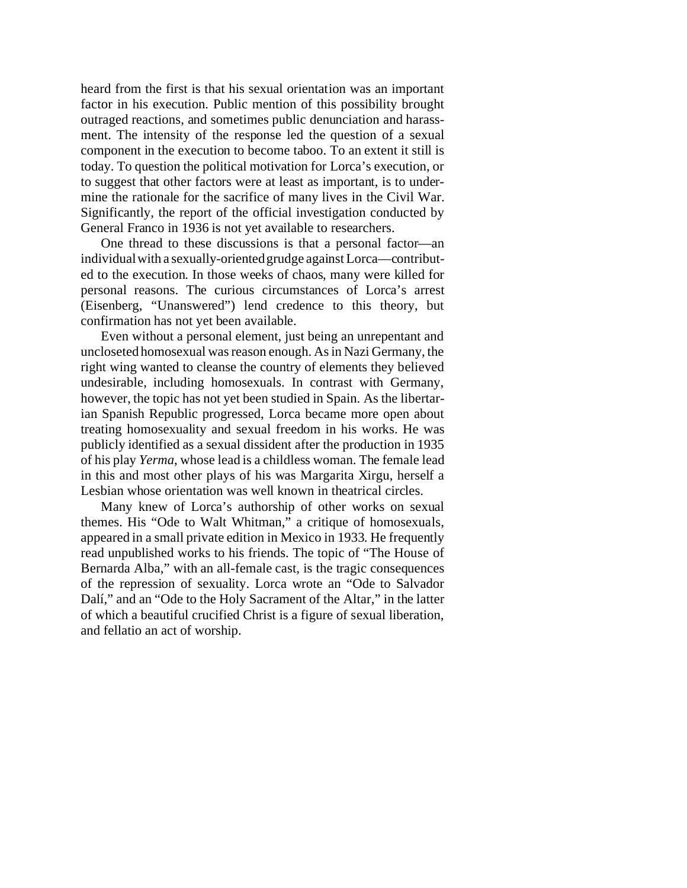heard from the first is that his sexual orientation was an important factor in his execution. Public mention of this possibility brought outraged reactions, and sometimes public denunciation and harassment. The intensity of the response led the question of a sexual component in the execution to become taboo. To an extent it still is today. To question the political motivation for Lorca's execution, or to suggest that other factors were at least as important, is to undermine the rationale for the sacrifice of many lives in the Civil War. Significantly, the report of the official investigation conducted by General Franco in 1936 is not yet available to researchers.

One thread to these discussions is that a personal factor—an individual with a sexually-oriented grudge against Lorca—contributed to the execution. In those weeks of chaos, many were killed for personal reasons. The curious circumstances of Lorca's arrest (Eisenberg, "Unanswered") lend credence to this theory, but confirmation has not yet been available.

Even without a personal element, just being an unrepentant and uncloseted homosexual was reason enough. As in Nazi Germany, the right wing wanted to cleanse the country of elements they believed undesirable, including homosexuals. In contrast with Germany, however, the topic has not yet been studied in Spain. As the libertarian Spanish Republic progressed, Lorca became more open about treating homosexuality and sexual freedom in his works. He was publicly identified as a sexual dissident after the production in 1935 of his play *Yerma*, whose lead is a childless woman. The female lead in this and most other plays of his was Margarita Xirgu, herself a Lesbian whose orientation was well known in theatrical circles.

Many knew of Lorca's authorship of other works on sexual themes. His "Ode to Walt Whitman," a critique of homosexuals, appeared in a small private edition in Mexico in 1933. He frequently read unpublished works to his friends. The topic of "The House of Bernarda Alba," with an all-female cast, is the tragic consequences of the repression of sexuality. Lorca wrote an "Ode to Salvador Dalí," and an "Ode to the Holy Sacrament of the Altar," in the latter of which a beautiful crucified Christ is a figure of sexual liberation, and fellatio an act of worship.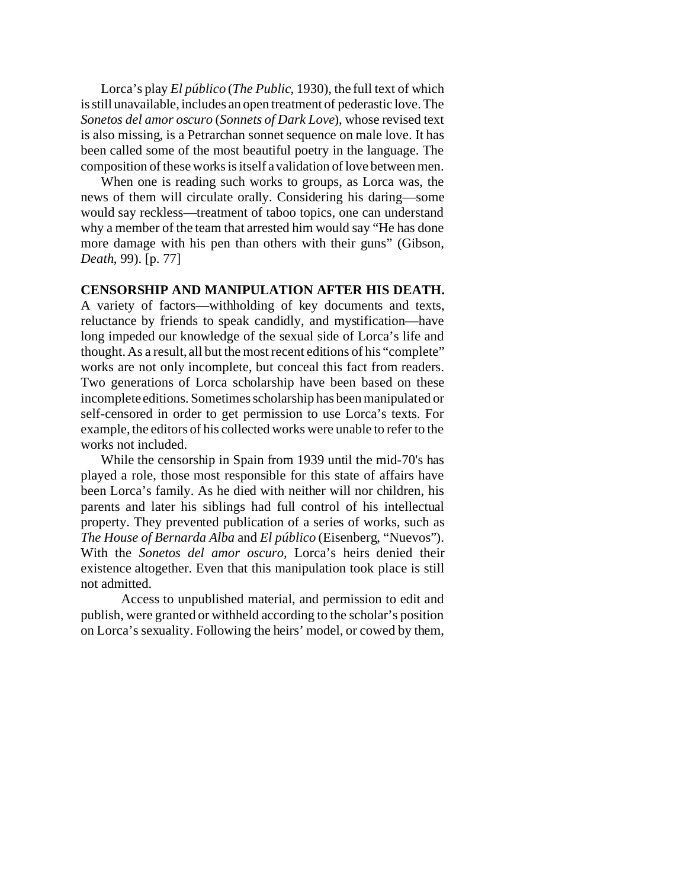Lorca's play *El público* (*The Public*, 1930), the full text of which is still unavailable, includes an open treatment of pederastic love. The *Sonetos del amor oscuro* (*Sonnets of Dark Love*), whose revised text is also missing, is a Petrarchan sonnet sequence on male love. It has been called some of the most beautiful poetry in the language. The composition of these works is itself a validation of love between men.

When one is reading such works to groups, as Lorca was, the news of them will circulate orally. Considering his daring—some would say reckless—treatment of taboo topics, one can understand why a member of the team that arrested him would say "He has done more damage with his pen than others with their guns" (Gibson, *Death*, 99). [p. 77]

## **CENSORSHIP AND MANIPULATION AFTER HIS DEATH.**

A variety of factors—withholding of key documents and texts, reluctance by friends to speak candidly, and mystification—have long impeded our knowledge of the sexual side of Lorca's life and thought. As a result, all but the most recent editions of his "complete" works are not only incomplete, but conceal this fact from readers. Two generations of Lorca scholarship have been based on these incomplete editions. Sometimes scholarship has been manipulated or self-censored in order to get permission to use Lorca's texts. For example, the editors of his collected works were unable to refer to the works not included.

While the censorship in Spain from 1939 until the mid-70's has played a role, those most responsible for this state of affairs have been Lorca's family. As he died with neither will nor children, his parents and later his siblings had full control of his intellectual property. They prevented publication of a series of works, such as *The House of Bernarda Alba* and *El público* (Eisenberg, "Nuevos"). With the *Sonetos del amor oscuro,* Lorca's heirs denied their existence altogether. Even that this manipulation took place is still not admitted.

Access to unpublished material, and permission to edit and publish, were granted or withheld according to the scholar's position on Lorca's sexuality. Following the heirs' model, or cowed by them,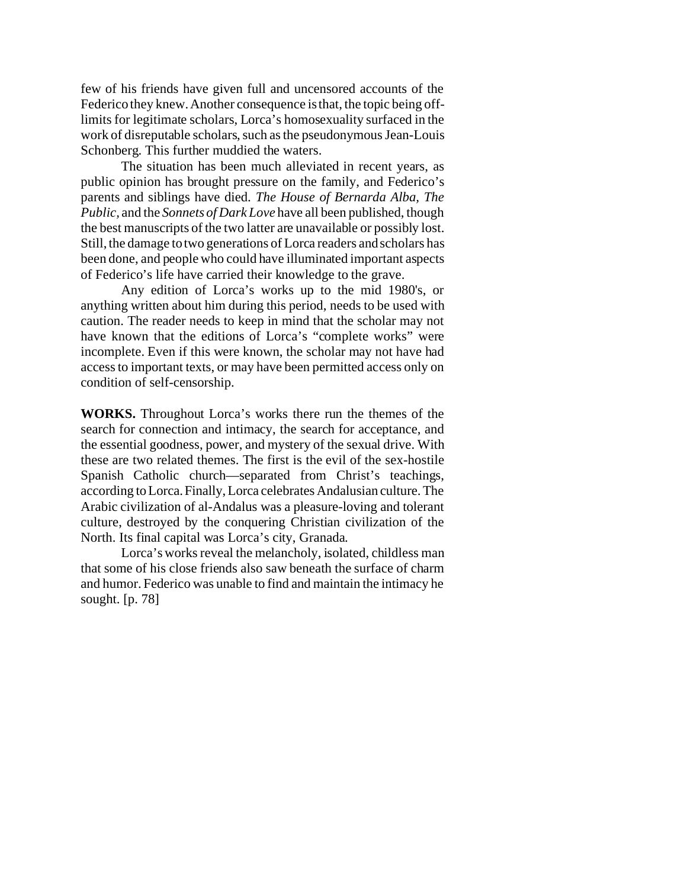few of his friends have given full and uncensored accounts of the Federico they knew. Another consequence is that, the topic being offlimits for legitimate scholars, Lorca's homosexuality surfaced in the work of disreputable scholars, such as the pseudonymous Jean-Louis Schonberg. This further muddied the waters.

The situation has been much alleviated in recent years, as public opinion has brought pressure on the family, and Federico's parents and siblings have died. *The House of Bernarda Alba, The Public,* and the *Sonnets of Dark Love* have all been published, though the best manuscripts of the two latter are unavailable or possibly lost. Still, the damage to two generations of Lorca readers and scholars has been done, and people who could have illuminated important aspects of Federico's life have carried their knowledge to the grave.

Any edition of Lorca's works up to the mid 1980's, or anything written about him during this period, needs to be used with caution. The reader needs to keep in mind that the scholar may not have known that the editions of Lorca's "complete works" were incomplete. Even if this were known, the scholar may not have had access to important texts, or may have been permitted access only on condition of self-censorship.

**WORKS.** Throughout Lorca's works there run the themes of the search for connection and intimacy, the search for acceptance, and the essential goodness, power, and mystery of the sexual drive. With these are two related themes. The first is the evil of the sex-hostile Spanish Catholic church—separated from Christ's teachings, according toLorca.Finally,Lorca celebrates Andalusian culture. The Arabic civilization of al-Andalus was a pleasure-loving and tolerant culture, destroyed by the conquering Christian civilization of the North. Its final capital was Lorca's city, Granada.

Lorca's works reveal the melancholy, isolated, childless man that some of his close friends also saw beneath the surface of charm and humor. Federico was unable to find and maintain the intimacy he sought. [p. 78]